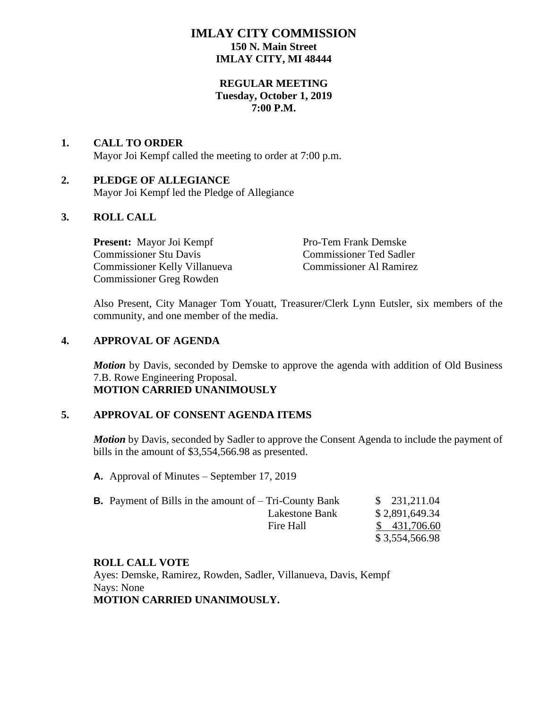# **IMLAY CITY COMMISSION 150 N. Main Street IMLAY CITY, MI 48444**

# **REGULAR MEETING Tuesday, October 1, 2019 7:00 P.M.**

### **1. CALL TO ORDER** Mayor Joi Kempf called the meeting to order at 7:00 p.m.

# **2. PLEDGE OF ALLEGIANCE**

Mayor Joi Kempf led the Pledge of Allegiance

# **3. ROLL CALL**

**Present:** Mayor Joi Kempf Pro-Tem Frank Demske Commissioner Stu Davis Commissioner Ted Sadler Commissioner Kelly Villanueva Commissioner Al Ramirez Commissioner Greg Rowden

Also Present, City Manager Tom Youatt, Treasurer/Clerk Lynn Eutsler, six members of the community, and one member of the media.

# **4. APPROVAL OF AGENDA**

*Motion* by Davis, seconded by Demske to approve the agenda with addition of Old Business 7.B. Rowe Engineering Proposal. **MOTION CARRIED UNANIMOUSLY**

# **5. APPROVAL OF CONSENT AGENDA ITEMS**

**Motion** by Davis, seconded by Sadler to approve the Consent Agenda to include the payment of bills in the amount of \$3,554,566.98 as presented.

**A.** Approval of Minutes – September 17, 2019

| <b>B.</b> Payment of Bills in the amount of $-$ Tri-County Bank |                | \$231,211.04   |
|-----------------------------------------------------------------|----------------|----------------|
|                                                                 | Lakestone Bank | \$2,891,649.34 |
|                                                                 | Fire Hall      | \$431,706.60   |
|                                                                 |                | \$3,554,566.98 |

# **ROLL CALL VOTE**

Ayes: Demske, Ramirez, Rowden, Sadler, Villanueva, Davis, Kempf Nays: None **MOTION CARRIED UNANIMOUSLY.**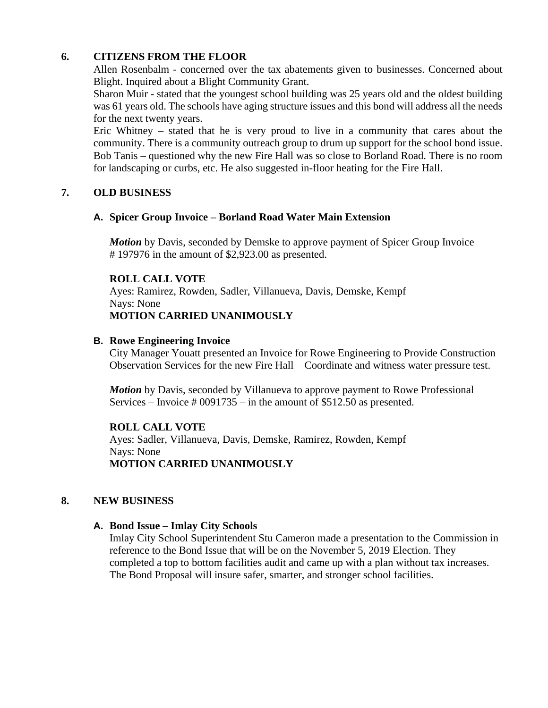# **6. CITIZENS FROM THE FLOOR**

Allen Rosenbalm - concerned over the tax abatements given to businesses. Concerned about Blight. Inquired about a Blight Community Grant.

Sharon Muir - stated that the youngest school building was 25 years old and the oldest building was 61 years old. The schools have aging structure issues and this bond will address all the needs for the next twenty years.

Eric Whitney – stated that he is very proud to live in a community that cares about the community. There is a community outreach group to drum up support for the school bond issue. Bob Tanis – questioned why the new Fire Hall was so close to Borland Road. There is no room for landscaping or curbs, etc. He also suggested in-floor heating for the Fire Hall.

# **7. OLD BUSINESS**

### **A. Spicer Group Invoice – Borland Road Water Main Extension**

*Motion* by Davis, seconded by Demske to approve payment of Spicer Group Invoice # 197976 in the amount of \$2,923.00 as presented.

### **ROLL CALL VOTE**

Ayes: Ramirez, Rowden, Sadler, Villanueva, Davis, Demske, Kempf Nays: None **MOTION CARRIED UNANIMOUSLY**

### **B. Rowe Engineering Invoice**

City Manager Youatt presented an Invoice for Rowe Engineering to Provide Construction Observation Services for the new Fire Hall – Coordinate and witness water pressure test.

*Motion* by Davis, seconded by Villanueva to approve payment to Rowe Professional Services – Invoice  $\#0091735$  – in the amount of \$512.50 as presented.

# **ROLL CALL VOTE**

Ayes: Sadler, Villanueva, Davis, Demske, Ramirez, Rowden, Kempf Nays: None **MOTION CARRIED UNANIMOUSLY**

#### **8. NEW BUSINESS**

#### **A. Bond Issue – Imlay City Schools**

Imlay City School Superintendent Stu Cameron made a presentation to the Commission in reference to the Bond Issue that will be on the November 5, 2019 Election. They completed a top to bottom facilities audit and came up with a plan without tax increases. The Bond Proposal will insure safer, smarter, and stronger school facilities.